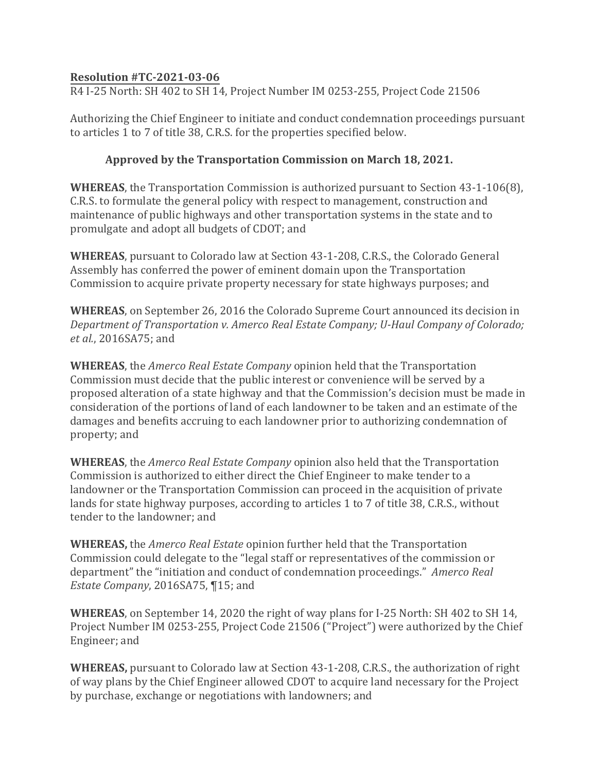## **Resolution #TC-2021-03-06**

R4 I-25 North: SH 402 to SH 14, Project Number IM 0253-255, Project Code 21506

Authorizing the Chief Engineer to initiate and conduct condemnation proceedings pursuant to articles 1 to 7 of title 38, C.R.S. for the properties specified below.

## **Approved by the Transportation Commission on March 18, 2021.**

**WHEREAS**, the Transportation Commission is authorized pursuant to Section 43-1-106(8), C.R.S. to formulate the general policy with respect to management, construction and maintenance of public highways and other transportation systems in the state and to promulgate and adopt all budgets of CDOT; and

**WHEREAS**, pursuant to Colorado law at Section 43-1-208, C.R.S., the Colorado General Assembly has conferred the power of eminent domain upon the Transportation Commission to acquire private property necessary for state highways purposes; and

**WHEREAS**, on September 26, 2016 the Colorado Supreme Court announced its decision in *Department of Transportation v. Amerco Real Estate Company; U-Haul Company of Colorado; et al.*, 2016SA75; and

**WHEREAS**, the *Amerco Real Estate Company* opinion held that the Transportation Commission must decide that the public interest or convenience will be served by a proposed alteration of a state highway and that the Commission's decision must be made in consideration of the portions of land of each landowner to be taken and an estimate of the damages and benefits accruing to each landowner prior to authorizing condemnation of property; and

**WHEREAS**, the *Amerco Real Estate Company* opinion also held that the Transportation Commission is authorized to either direct the Chief Engineer to make tender to a landowner or the Transportation Commission can proceed in the acquisition of private lands for state highway purposes, according to articles 1 to 7 of title 38, C.R.S., without tender to the landowner; and

**WHEREAS,** the *Amerco Real Estate* opinion further held that the Transportation Commission could delegate to the "legal staff or representatives of the commission or department" the "initiation and conduct of condemnation proceedings." *Amerco Real Estate Company*, 2016SA75, ¶15; and

**WHEREAS**, on September 14, 2020 the right of way plans for I-25 North: SH 402 to SH 14, Project Number IM 0253-255, Project Code 21506 ("Project") were authorized by the Chief Engineer; and

**WHEREAS,** pursuant to Colorado law at Section 43-1-208, C.R.S., the authorization of right of way plans by the Chief Engineer allowed CDOT to acquire land necessary for the Project by purchase, exchange or negotiations with landowners; and